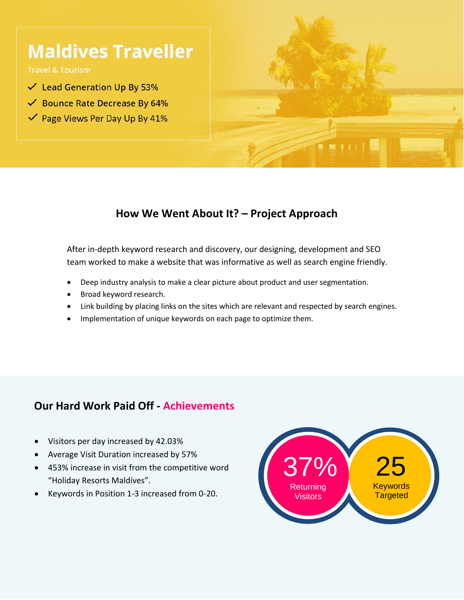# **Maldives Traveller**

**Travel & Tourism** 

- $\checkmark$  Lead Generation Up By 53%
- ← Bounce Rate Decrease By 64%
- ✔ Page Views Per Day Up By 41%



## **How We Went About It? – Project Approach**

After in-depth keyword research and discovery, our designing, development and SEO team worked to make a website that was informative as well as search engine friendly.

- Deep industry analysis to make a clear picture about product and user segmentation.
- Broad keyword research.
- Link building by placing links on the sites which are relevant and respected by search engines.
- Implementation of unique keywords on each page to optimize them.

#### **Our Hard Work Paid Off - Achievements**

- Visitors per day increased by 42.03%
- Average Visit Duration increased by 57%
- 453% increase in visit from the competitive word "Holiday Resorts Maldives".
- Keywords in Position 1-3 increased from 0-20.